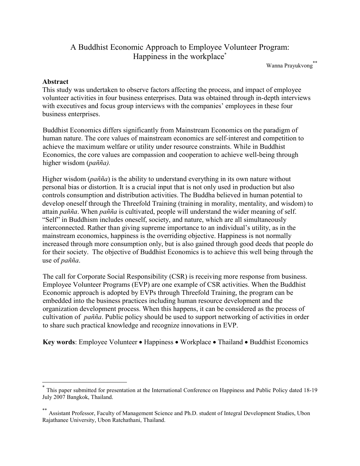# A Buddhist Economic Approach to Employee Volunteer Program: Happiness in the workplace<sup>\*</sup>

Wanna Prayukvong\*\*

### Abstract

 $\overline{\phantom{a}}$ 

This study was undertaken to observe factors affecting the process, and impact of employee volunteer activities in four business enterprises. Data was obtained through in-depth interviews with executives and focus group interviews with the companies' employees in these four business enterprises.

Buddhist Economics differs significantly from Mainstream Economics on the paradigm of human nature. The core values of mainstream economics are self-interest and competition to achieve the maximum welfare or utility under resource constraints. While in Buddhist Economics, the core values are compassion and cooperation to achieve well-being through higher wisdom (pañña).

Higher wisdom ( $pañña$ ) is the ability to understand everything in its own nature without personal bias or distortion. It is a crucial input that is not only used in production but also controls consumption and distribution activities. The Buddha believed in human potential to develop oneself through the Threefold Training (training in morality, mentality, and wisdom) to attain pañña. When pañña is cultivated, people will understand the wider meaning of self. "Self" in Buddhism includes oneself, society, and nature, which are all simultaneously interconnected. Rather than giving supreme importance to an individual's utility, as in the mainstream economics, happiness is the overriding objective. Happiness is not normally increased through more consumption only, but is also gained through good deeds that people do for their society. The objective of Buddhist Economics is to achieve this well being through the use of pañña.

The call for Corporate Social Responsibility (CSR) is receiving more response from business. Employee Volunteer Programs (EVP) are one example of CSR activities. When the Buddhist Economic approach is adopted by EVPs through Threefold Training, the program can be embedded into the business practices including human resource development and the organization development process. When this happens, it can be considered as the process of cultivation of pañña. Public policy should be used to support networking of activities in order to share such practical knowledge and recognize innovations in EVP.

Key words: Employee Volunteer • Happiness • Workplace • Thailand • Buddhist Economics

<sup>\*</sup> This paper submitted for presentation at the International Conference on Happiness and Public Policy dated 18-19 July 2007 Bangkok, Thailand.

Assistant Professor, Faculty of Management Science and Ph.D. student of Integral Development Studies, Ubon Rajathanee University, Ubon Ratchathani, Thailand.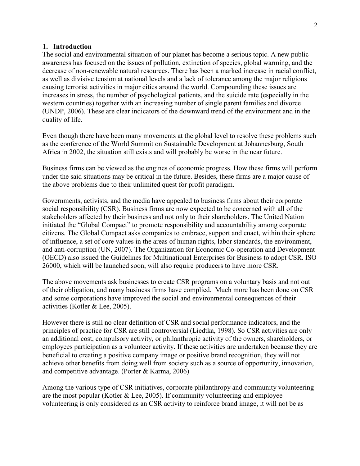#### 1. Introduction

The social and environmental situation of our planet has become a serious topic. A new public awareness has focused on the issues of pollution, extinction of species, global warming, and the decrease of non-renewable natural resources. There has been a marked increase in racial conflict, as well as divisive tension at national levels and a lack of tolerance among the major religions causing terrorist activities in major cities around the world. Compounding these issues are increases in stress, the number of psychological patients, and the suicide rate (especially in the western countries) together with an increasing number of single parent families and divorce (UNDP, 2006). These are clear indicators of the downward trend of the environment and in the quality of life.

Even though there have been many movements at the global level to resolve these problems such as the conference of the World Summit on Sustainable Development at Johannesburg, South Africa in 2002, the situation still exists and will probably be worse in the near future.

Business firms can be viewed as the engines of economic progress. How these firms will perform under the said situations may be critical in the future. Besides, these firms are a major cause of the above problems due to their unlimited quest for profit paradigm.

Governments, activists, and the media have appealed to business firms about their corporate social responsibility (CSR). Business firms are now expected to be concerned with all of the stakeholders affected by their business and not only to their shareholders. The United Nation initiated the "Global Compact" to promote responsibility and accountability among corporate citizens. The Global Compact asks companies to embrace, support and enact, within their sphere of influence, a set of core values in the areas of human rights, labor standards, the environment, and anti-corruption (UN, 2007). The Organization for Economic Co-operation and Development (OECD) also issued the Guidelines for Multinational Enterprises for Business to adopt CSR. ISO 26000, which will be launched soon, will also require producers to have more CSR.

The above movements ask businesses to create CSR programs on a voluntary basis and not out of their obligation, and many business firms have complied. Much more has been done on CSR and some corporations have improved the social and environmental consequences of their activities (Kotler & Lee, 2005).

However there is still no clear definition of CSR and social performance indicators, and the principles of practice for CSR are still controversial (Liedtka, 1998). So CSR activities are only an additional cost, compulsory activity, or philanthropic activity of the owners, shareholders, or employees participation as a volunteer activity. If these activities are undertaken because they are beneficial to creating a positive company image or positive brand recognition, they will not achieve other benefits from doing well from society such as a source of opportunity, innovation, and competitive advantage. (Porter & Karma, 2006)

Among the various type of CSR initiatives, corporate philanthropy and community volunteering are the most popular (Kotler  $& Lee, 2005$ ). If community volunteering and employee volunteering is only considered as an CSR activity to reinforce brand image, it will not be as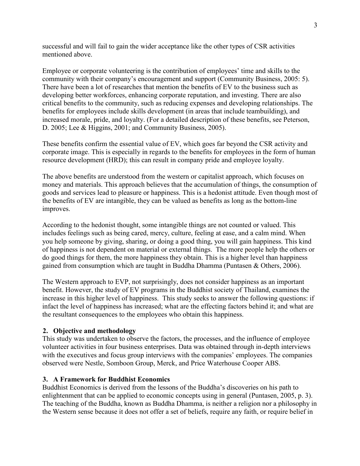successful and will fail to gain the wider acceptance like the other types of CSR activities mentioned above.

Employee or corporate volunteering is the contribution of employees' time and skills to the community with their company's encouragement and support (Community Business, 2005: 5). There have been a lot of researches that mention the benefits of EV to the business such as developing better workforces, enhancing corporate reputation, and investing. There are also critical benefits to the community, such as reducing expenses and developing relationships. The benefits for employees include skills development (in areas that include teambuilding), and increased morale, pride, and loyalty. (For a detailed description of these benefits, see Peterson, D. 2005; Lee & Higgins, 2001; and Community Business, 2005).

These benefits confirm the essential value of EV, which goes far beyond the CSR activity and corporate image. This is especially in regards to the benefits for employees in the form of human resource development (HRD); this can result in company pride and employee loyalty.

The above benefits are understood from the western or capitalist approach, which focuses on money and materials. This approach believes that the accumulation of things, the consumption of goods and services lead to pleasure or happiness. This is a hedonist attitude. Even though most of the benefits of EV are intangible, they can be valued as benefits as long as the bottom-line improves.

According to the hedonist thought, some intangible things are not counted or valued. This includes feelings such as being cared, mercy, culture, feeling at ease, and a calm mind. When you help someone by giving, sharing, or doing a good thing, you will gain happiness. This kind of happiness is not dependent on material or external things. The more people help the others or do good things for them, the more happiness they obtain. This is a higher level than happiness gained from consumption which are taught in Buddha Dhamma (Puntasen & Others, 2006).

The Western approach to EVP, not surprisingly, does not consider happiness as an important benefit. However, the study of EV programs in the Buddhist society of Thailand, examines the increase in this higher level of happiness. This study seeks to answer the following questions: if infact the level of happiness has increased; what are the effecting factors behind it; and what are the resultant consequences to the employees who obtain this happiness.

# 2. Objective and methodology

This study was undertaken to observe the factors, the processes, and the influence of employee volunteer activities in four business enterprises. Data was obtained through in-depth interviews with the executives and focus group interviews with the companies' employees. The companies observed were Nestle, Somboon Group, Merck, and Price Waterhouse Cooper ABS.

#### 3. A Framework for Buddhist Economics

Buddhist Economics is derived from the lessons of the Buddha's discoveries on his path to enlightenment that can be applied to economic concepts using in general (Puntasen, 2005, p. 3). The teaching of the Buddha, known as Buddha Dhamma, is neither a religion nor a philosophy in the Western sense because it does not offer a set of beliefs, require any faith, or require belief in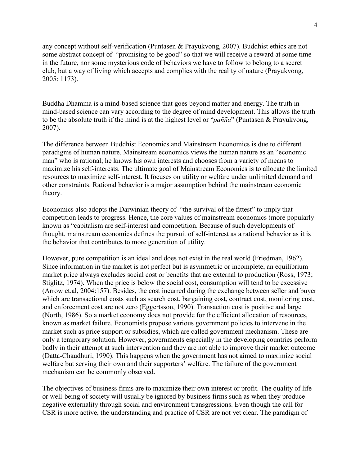any concept without self-verification (Puntasen & Prayukvong, 2007). Buddhist ethics are not some abstract concept of "promising to be good" so that we will receive a reward at some time in the future, nor some mysterious code of behaviors we have to follow to belong to a secret club, but a way of living which accepts and complies with the reality of nature (Prayukvong, 2005: 1173).

Buddha Dhamma is a mind-based science that goes beyond matter and energy. The truth in mind-based science can vary according to the degree of mind development. This allows the truth to be the absolute truth if the mind is at the highest level or "*pañña*" (Puntasen & Prayukvong, 2007).

The difference between Buddhist Economics and Mainstream Economics is due to different paradigms of human nature. Mainstream economics views the human nature as an "economic man" who is rational; he knows his own interests and chooses from a variety of means to maximize his self-interests. The ultimate goal of Mainstream Economics is to allocate the limited resources to maximize self-interest. It focuses on utility or welfare under unlimited demand and other constraints. Rational behavior is a major assumption behind the mainstream economic theory.

Economics also adopts the Darwinian theory of "the survival of the fittest" to imply that competition leads to progress. Hence, the core values of mainstream economics (more popularly known as "capitalism are self-interest and competition. Because of such developments of thought, mainstream economics defines the pursuit of self-interest as a rational behavior as it is the behavior that contributes to more generation of utility.

However, pure competition is an ideal and does not exist in the real world (Friedman, 1962). Since information in the market is not perfect but is asymmetric or incomplete, an equilibrium market price always excludes social cost or benefits that are external to production (Ross, 1973; Stiglitz, 1974). When the price is below the social cost, consumption will tend to be excessive (Arrow et.al, 2004:157). Besides, the cost incurred during the exchange between seller and buyer which are transactional costs such as search cost, bargaining cost, contract cost, monitoring cost, and enforcement cost are not zero (Eggertsson, 1990). Transaction cost is positive and large (North, 1986). So a market economy does not provide for the efficient allocation of resources, known as market failure. Economists propose various government policies to intervene in the market such as price support or subsidies, which are called government mechanism. These are only a temporary solution. However, governments especially in the developing countries perform badly in their attempt at such intervention and they are not able to improve their market outcome (Datta-Chaudhuri, 1990). This happens when the government has not aimed to maximize social welfare but serving their own and their supporters' welfare. The failure of the government mechanism can be commonly observed.

The objectives of business firms are to maximize their own interest or profit. The quality of life or well-being of society will usually be ignored by business firms such as when they produce negative externality through social and environment transgressions. Even though the call for CSR is more active, the understanding and practice of CSR are not yet clear. The paradigm of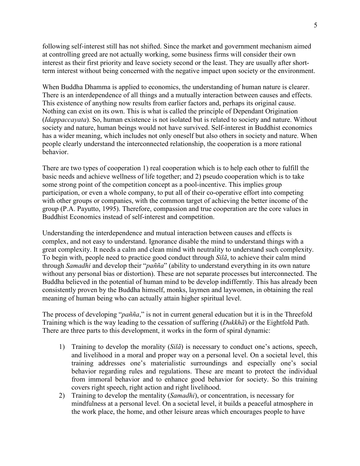following self-interest still has not shifted. Since the market and government mechanism aimed at controlling greed are not actually working, some business firms will consider their own interest as their first priority and leave society second or the least. They are usually after shortterm interest without being concerned with the negative impact upon society or the environment.

When Buddha Dhamma is applied to economics, the understanding of human nature is clearer. There is an interdependence of all things and a mutually interaction between causes and effects. This existence of anything now results from earlier factors and, perhaps its original cause. Nothing can exist on its own. This is what is called the principle of Dependant Origination (Idappaccayata). So, human existence is not isolated but is related to society and nature. Without society and nature, human beings would not have survived. Self-interest in Buddhist economics has a wider meaning, which includes not only oneself but also others in society and nature. When people clearly understand the interconnected relationship, the cooperation is a more rational behavior.

There are two types of cooperation 1) real cooperation which is to help each other to fulfill the basic needs and achieve wellness of life together; and 2) pseudo cooperation which is to take some strong point of the competition concept as a pool-incentive. This implies group participation, or even a whole company, to put all of their co-operative effort into competing with other groups or companies, with the common target of achieving the better income of the group (P.A. Payutto, 1995). Therefore, compassion and true cooperation are the core values in Buddhist Economics instead of self-interest and competition.

Understanding the interdependence and mutual interaction between causes and effects is complex, and not easy to understand. Ignorance disable the mind to understand things with a great complexity. It needs a calm and clean mind with neutrality to understand such complexity. To begin with, people need to practice good conduct through  $Si\tilde{a}$ , to achieve their calm mind through Samadhi and develop their "*pañña*" (ability to understand everything in its own nature without any personal bias or distortion). These are not separate processes but interconnected. The Buddha believed in the potential of human mind to be develop indifferntly. This has already been consistently proven by the Buddha himself, monks, laymen and laywomen, in obtaining the real meaning of human being who can actually attain higher spiritual level.

The process of developing "*pañña*," is not in current general education but it is in the Threefold Training which is the way leading to the cessation of suffering (Dukkhã) or the Eightfold Path. There are three parts to this development, it works in the form of spiral dynamic:

- 1) Training to develop the morality (Silã) is necessary to conduct one's actions, speech, and livelihood in a moral and proper way on a personal level. On a societal level, this training addresses one's materialistic surroundings and especially one's social behavior regarding rules and regulations. These are meant to protect the individual from immoral behavior and to enhance good behavior for society. So this training covers right speech, right action and right livelihood.
- 2) Training to develop the mentality *(Samadhi)*, or concentration, is necessary for mindfulness at a personal level. On a societal level, it builds a peaceful atmosphere in the work place, the home, and other leisure areas which encourages people to have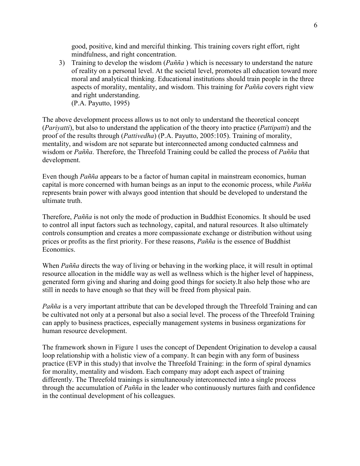good, positive, kind and merciful thinking. This training covers right effort, right mindfulness, and right concentration.

3) Training to develop the wisdom  $(Pañña)$  which is necessary to understand the nature of reality on a personal level. At the societal level, promotes all education toward more moral and analytical thinking. Educational institutions should train people in the three aspects of morality, mentality, and wisdom. This training for Pañña covers right view and right understanding. (P.A. Payutto, 1995)

The above development process allows us to not only to understand the theoretical concept (*Pariyatti*), but also to understand the application of the theory into practice (*Pattipatti*) and the proof of the results through (Pattivedha) (P.A. Payutto, 2005:105). Training of morality, mentality, and wisdom are not separate but interconnected among conducted calmness and wisdom or Pañña. Therefore, the Threefold Training could be called the process of Pañña that development.

Even though Pañña appears to be a factor of human capital in mainstream economics, human capital is more concerned with human beings as an input to the economic process, while Pañña represents brain power with always good intention that should be developed to understand the ultimate truth.

Therefore, Pañña is not only the mode of production in Buddhist Economics. It should be used to control all input factors such as technology, capital, and natural resources. It also ultimately controls consumption and creates a more compassionate exchange or distribution without using prices or profits as the first priority. For these reasons, Pañña is the essence of Buddhist Economics.

When *Pañña* directs the way of living or behaving in the working place, it will result in optimal resource allocation in the middle way as well as wellness which is the higher level of happiness, generated form giving and sharing and doing good things for society.It also help those who are still in needs to have enough so that they will be freed from physical pain.

Pañña is a very important attribute that can be developed through the Threefold Training and can be cultivated not only at a personal but also a social level. The process of the Threefold Training can apply to business practices, especially management systems in business organizations for human resource development.

The framework shown in Figure 1 uses the concept of Dependent Origination to develop a causal loop relationship with a holistic view of a company. It can begin with any form of business practice (EVP in this study) that involve the Threefold Training: in the form of spiral dynamics for morality, mentality and wisdom. Each company may adopt each aspect of training differently. The Threefold trainings is simultaneously interconnected into a single process through the accumulation of  $Pa\tilde{m}\tilde{a}$  in the leader who continuously nurtures faith and confidence in the continual development of his colleagues.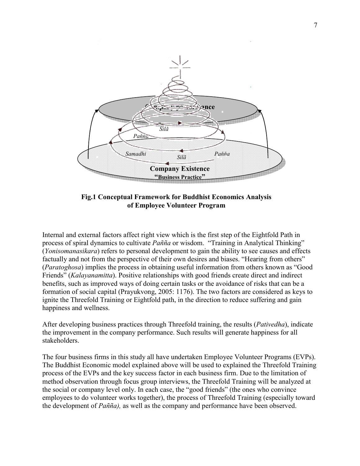

Fig.1 Conceptual Framework for Buddhist Economics Analysis of Employee Volunteer Program

Internal and external factors affect right view which is the first step of the Eightfold Path in process of spiral dynamics to cultivate Pañña or wisdom. "Training in Analytical Thinking" (Yonisomanasikara) refers to personal development to gain the ability to see causes and effects factually and not from the perspective of their own desires and biases. "Hearing from others" (Paratoghosa) implies the process in obtaining useful information from others known as "Good Friends" (Kalayanamitta). Positive relationships with good friends create direct and indirect benefits, such as improved ways of doing certain tasks or the avoidance of risks that can be a formation of social capital (Prayukvong, 2005: 1176). The two factors are considered as keys to ignite the Threefold Training or Eightfold path, in the direction to reduce suffering and gain happiness and wellness.

After developing business practices through Threefold training, the results (Pativedha), indicate the improvement in the company performance. Such results will generate happiness for all stakeholders.

The four business firms in this study all have undertaken Employee Volunteer Programs (EVPs). The Buddhist Economic model explained above will be used to explained the Threefold Training process of the EVPs and the key success factor in each business firm. Due to the limitation of method observation through focus group interviews, the Threefold Training will be analyzed at the social or company level only. In each case, the "good friends" (the ones who convince employees to do volunteer works together), the process of Threefold Training (especially toward the development of Pañña), as well as the company and performance have been observed.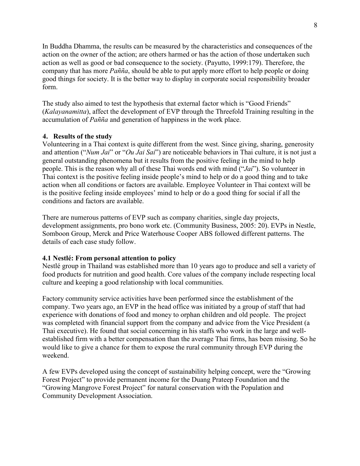In Buddha Dhamma, the results can be measured by the characteristics and consequences of the action on the owner of the action; are others harmed or has the action of those undertaken such action as well as good or bad consequence to the society. (Payutto, 1999:179). Therefore, the company that has more *Pañña*, should be able to put apply more effort to help people or doing good things for society. It is the better way to display in corporate social responsibility broader form.

The study also aimed to test the hypothesis that external factor which is "Good Friends" (Kalayanamitta), affect the development of EVP through the Threefold Training resulting in the accumulation of Pañña and generation of happiness in the work place.

### 4. Results of the study

Volunteering in a Thai context is quite different from the west. Since giving, sharing, generosity and attention ("Num Jai" or "Ou Jai Sai") are noticeable behaviors in Thai culture, it is not just a general outstanding phenomena but it results from the positive feeling in the mind to help people. This is the reason why all of these Thai words end with mind  $("Jai")$ . So volunteer in Thai context is the positive feeling inside people's mind to help or do a good thing and to take action when all conditions or factors are available. Employee Volunteer in Thai context will be is the positive feeling inside employees' mind to help or do a good thing for social if all the conditions and factors are available.

There are numerous patterns of EVP such as company charities, single day projects, development assignments, pro bono work etc. (Community Business, 2005: 20). EVPs in Nestle, Somboon Group, Merck and Price Waterhouse Cooper ABS followed different patterns. The details of each case study follow.

# 4.1 Nestlé: From personal attention to policy

Nestlé group in Thailand was established more than 10 years ago to produce and sell a variety of food products for nutrition and good health. Core values of the company include respecting local culture and keeping a good relationship with local communities.

Factory community service activities have been performed since the establishment of the company. Two years ago, an EVP in the head office was initiated by a group of staff that had experience with donations of food and money to orphan children and old people. The project was completed with financial support from the company and advice from the Vice President (a Thai executive). He found that social concerning in his staffs who work in the large and wellestablished firm with a better compensation than the average Thai firms, has been missing. So he would like to give a chance for them to expose the rural community through EVP during the weekend.

A few EVPs developed using the concept of sustainability helping concept, were the "Growing Forest Project" to provide permanent income for the Duang Prateep Foundation and the "Growing Mangrove Forest Project" for natural conservation with the Population and Community Development Association.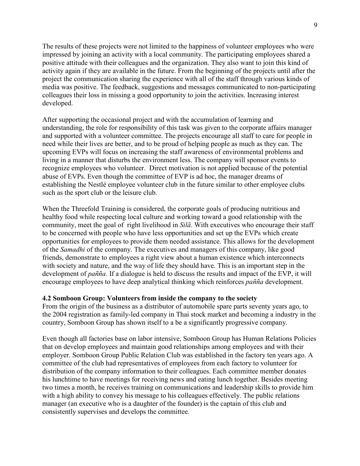The results of these projects were not limited to the happiness of volunteer employees who were impressed by joining an activity with a local community. The participating employees shared a positive attitude with their colleagues and the organization. They also want to join this kind of activity again if they are available in the future. From the beginning of the projects until after the project the communication sharing the experience with all of the staff through various kinds of media was positive. The feedback, suggestions and messages communicated to non-participating colleagues their loss in missing a good opportunity to join the activities. Increasing interest developed.

After supporting the occasional project and with the accumulation of learning and understanding, the role for responsibility of this task was given to the corporate affairs manager and supported with a volunteer committee. The projects encourage all staff to care for people in need while their lives are better, and to be proud of helping people as much as they can. The upcoming EVPs will focus on increasing the staff awareness of environmental problems and living in a manner that disturbs the environment less. The company will sponsor events to recognize employees who volunteer. Direct motivation is not applied because of the potential abuse of EVPs. Even though the committee of EVP is ad hoc, the manager dreams of establishing the Nestlé employee volunteer club in the future similar to other employee clubs such as the sport club or the leisure club.

When the Threefold Training is considered, the corporate goals of producing nutritious and healthy food while respecting local culture and working toward a good relationship with the community, meet the goal of right livelihood in Silã. With executives who encourage their staff to be concerned with people who have less opportunities and set up the EVPs which create opportunities for employees to provide them needed assistance. This allows for the development of the Samadhi of the company. The executives and managers of this company, like good friends, demonstrate to employees a right view about a human existence which interconnects with society and nature, and the way of life they should have. This is an important step in the development of *pañña*. If a dialogue is held to discuss the results and impact of the EVP, it will encourage employees to have deep analytical thinking which reinforces *pañña* development.

#### 4.2 Somboon Group: Volunteers from inside the company to the society

From the origin of the business as a distributor of automobile spare parts seventy years ago, to the 2004 registration as family-led company in Thai stock market and becoming a industry in the country, Somboon Group has shown itself to a be a significantly progressive company.

Even though all factories base on labor intensive, Somboon Group has Human Relations Policies that on develop employees and maintain good relationships among employees and with their employer. Somboon Group Public Relation Club was established in the factory ten years ago. A committee of the club had representatives of employees from each factory to volunteer for distribution of the company information to their colleagues. Each committee member donates his lunchtime to have meetings for receiving news and eating lunch together. Besides meeting two times a month, he receives training on communications and leadership skills to provide him with a high ability to convey his message to his colleagues effectively. The public relations manager (an executive who is a daughter of the founder) is the captain of this club and consistently supervises and develops the committee.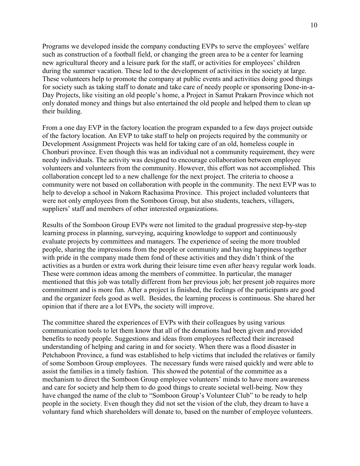Programs we developed inside the company conducting EVPs to serve the employees' welfare such as construction of a football field, or changing the green area to be a center for learning new agricultural theory and a leisure park for the staff, or activities for employees' children during the summer vacation. These led to the development of activities in the society at large. These volunteers help to promote the company at public events and activities doing good things for society such as taking staff to donate and take care of needy people or sponsoring Done-in-a-Day Projects, like visiting an old people's home, a Project in Samut Prakarn Province which not only donated money and things but also entertained the old people and helped them to clean up their building.

From a one day EVP in the factory location the program expanded to a few days project outside of the factory location. An EVP to take staff to help on projects required by the community or Development Assignment Projects was held for taking care of an old, homeless couple in Chonburi province. Even though this was an individual not a community requirement, they were needy individuals. The activity was designed to encourage collaboration between employee volunteers and volunteers from the community. However, this effort was not accomplished. This collaboration concept led to a new challenge for the next project. The criteria to choose a community were not based on collaboration with people in the community. The next EVP was to help to develop a school in Nakorn Rachasima Province. This project included volunteers that were not only employees from the Somboon Group, but also students, teachers, villagers, suppliers' staff and members of other interested organizations.

Results of the Somboon Group EVPs were not limited to the gradual progressive step-by-step learning process in planning, surveying, acquiring knowledge to support and continuously evaluate projects by committees and managers. The experience of seeing the more troubled people, sharing the impressions from the people or community and having happiness together with pride in the company made them fond of these activities and they didn't think of the activities as a burden or extra work during their leisure time even after heavy regular work loads. These were common ideas among the members of committee. In particular, the manager mentioned that this job was totally different from her previous job; her present job requires more commitment and is more fun. After a project is finished, the feelings of the participants are good and the organizer feels good as well. Besides, the learning process is continuous. She shared her opinion that if there are a lot EVPs, the society will improve.

The committee shared the experiences of EVPs with their colleagues by using various communication tools to let them know that all of the donations had been given and provided benefits to needy people. Suggestions and ideas from employees reflected their increased understanding of helping and caring in and for society. When there was a flood disaster in Petchaboon Province, a fund was established to help victims that included the relatives or family of some Somboon Group employees. The necessary funds were raised quickly and were able to assist the families in a timely fashion. This showed the potential of the committee as a mechanism to direct the Somboon Group employee volunteers' minds to have more awareness and care for society and help them to do good things to create societal well-being. Now they have changed the name of the club to "Somboon Group's Volunteer Club" to be ready to help people in the society. Even though they did not set the vision of the club, they dream to have a voluntary fund which shareholders will donate to, based on the number of employee volunteers.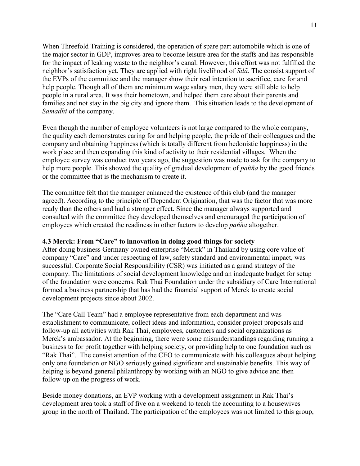When Threefold Training is considered, the operation of spare part automobile which is one of the major sector in GDP, improves area to become leisure area for the staffs and has responsible for the impact of leaking waste to the neighbor's canal. However, this effort was not fulfilled the neighbor's satisfaction yet. They are applied with right livelihood of Silã. The consist support of the EVPs of the committee and the manager show their real intention to sacrifice, care for and help people. Though all of them are minimum wage salary men, they were still able to help people in a rural area. It was their hometown, and helped them care about their parents and families and not stay in the big city and ignore them. This situation leads to the development of Samadhi of the company.

Even though the number of employee volunteers is not large compared to the whole company, the quality each demonstrates caring for and helping people, the pride of their colleagues and the company and obtaining happiness (which is totally different from hedonistic happiness) in the work place and then expanding this kind of activity to their residential villages. When the employee survey was conduct two years ago, the suggestion was made to ask for the company to help more people. This showed the quality of gradual development of *pañña* by the good friends or the committee that is the mechanism to create it.

The committee felt that the manager enhanced the existence of this club (and the manager agreed). According to the principle of Dependent Origination, that was the factor that was more ready than the others and had a stronger effect. Since the manager always supported and consulted with the committee they developed themselves and encouraged the participation of employees which created the readiness in other factors to develop *panna* altogether.

# 4.3 Merck: From "Care" to innovation in doing good things for society

After doing business Germany owned enterprise "Merck" in Thailand by using core value of company "Care" and under respecting of law, safety standard and environmental impact, was successful. Corporate Social Responsibility (CSR) was initiated as a grand strategy of the company. The limitations of social development knowledge and an inadequate budget for setup of the foundation were concerns. Rak Thai Foundation under the subsidiary of Care International formed a business partnership that has had the financial support of Merck to create social development projects since about 2002.

The "Care Call Team" had a employee representative from each department and was establishment to communicate, collect ideas and information, consider project proposals and follow-up all activities with Rak Thai, employees, customers and social organizations as Merck's ambassador. At the beginning, there were some misunderstandings regarding running a business to for profit together with helping society, or providing help to one foundation such as "Rak Thai". The consist attention of the CEO to communicate with his colleagues about helping only one foundation or NGO seriously gained significant and sustainable benefits. This way of helping is beyond general philanthropy by working with an NGO to give advice and then follow-up on the progress of work.

Beside money donations, an EVP working with a development assignment in Rak Thai's development area took a staff of five on a weekend to teach the accounting to a housewives group in the north of Thailand. The participation of the employees was not limited to this group,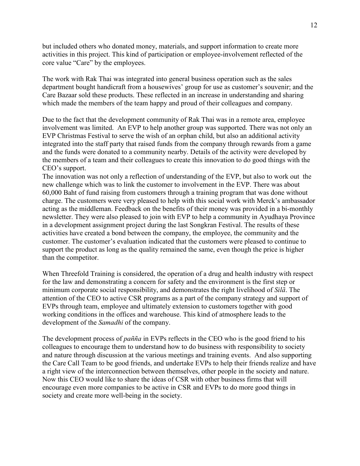but included others who donated money, materials, and support information to create more activities in this project. This kind of participation or employee-involvement reflected of the core value "Care" by the employees.

The work with Rak Thai was integrated into general business operation such as the sales department bought handicraft from a housewives' group for use as customer's souvenir; and the Care Bazaar sold these products. These reflected in an increase in understanding and sharing which made the members of the team happy and proud of their colleagues and company.

Due to the fact that the development community of Rak Thai was in a remote area, employee involvement was limited. An EVP to help another group was supported. There was not only an EVP Christmas Festival to serve the wish of an orphan child, but also an additional activity integrated into the staff party that raised funds from the company through rewards from a game and the funds were donated to a community nearby. Details of the activity were developed by the members of a team and their colleagues to create this innovation to do good things with the CEO's support.

The innovation was not only a reflection of understanding of the EVP, but also to work out the new challenge which was to link the customer to involvement in the EVP. There was about 60,000 Baht of fund raising from customers through a training program that was done without charge. The customers were very pleased to help with this social work with Merck's ambassador acting as the middleman. Feedback on the benefits of their money was provided in a bi-monthly newsletter. They were also pleased to join with EVP to help a community in Ayudhaya Province in a development assignment project during the last Songkran Festival. The results of these activities have created a bond between the company, the employee, the community and the customer. The customer's evaluation indicated that the customers were pleased to continue to support the product as long as the quality remained the same, even though the price is higher than the competitor.

When Threefold Training is considered, the operation of a drug and health industry with respect for the law and demonstrating a concern for safety and the environment is the first step or minimum corporate social responsibility, and demonstrates the right livelihood of Silã. The attention of the CEO to active CSR programs as a part of the company strategy and support of EVPs through team, employee and ultimately extension to customers together with good working conditions in the offices and warehouse. This kind of atmosphere leads to the development of the Samadhi of the company.

The development process of *pañña* in EVPs reflects in the CEO who is the good friend to his colleagues to encourage them to understand how to do business with responsibility to society and nature through discussion at the various meetings and training events. And also supporting the Care Call Team to be good friends, and undertake EVPs to help their friends realize and have a right view of the interconnection between themselves, other people in the society and nature. Now this CEO would like to share the ideas of CSR with other business firms that will encourage even more companies to be active in CSR and EVPs to do more good things in society and create more well-being in the society.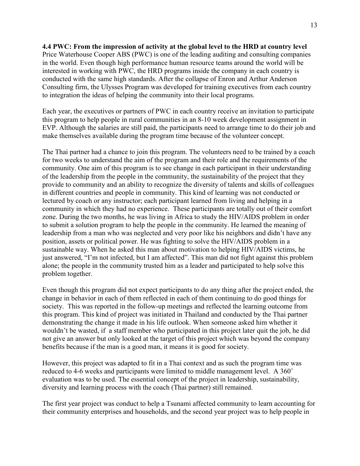4.4 PWC: From the impression of activity at the global level to the HRD at country level Price Waterhouse Cooper ABS (PWC) is one of the leading auditing and consulting companies in the world. Even though high performance human resource teams around the world will be interested in working with PWC, the HRD programs inside the company in each country is conducted with the same high standards. After the collapse of Enron and Arthur Anderson Consulting firm, the Ulysses Program was developed for training executives from each country to integration the ideas of helping the community into their local programs.

Each year, the executives or partners of PWC in each country receive an invitation to participate this program to help people in rural communities in an 8-10 week development assignment in EVP. Although the salaries are still paid, the participants need to arrange time to do their job and make themselves available during the program time because of the volunteer concept.

The Thai partner had a chance to join this program. The volunteers need to be trained by a coach for two weeks to understand the aim of the program and their role and the requirements of the community. One aim of this program is to see change in each participant in their understanding of the leadership from the people in the community, the sustainability of the project that they provide to community and an ability to recognize the diversity of talents and skills of colleagues in different countries and people in community. This kind of learning was not conducted or lectured by coach or any instructor; each participant learned from living and helping in a community in which they had no experience. These participants are totally out of their comfort zone. During the two months, he was living in Africa to study the HIV/AIDS problem in order to submit a solution program to help the people in the community. He learned the meaning of leadership from a man who was neglected and very poor like his neighbors and didn't have any position, assets or political power. He was fighting to solve the HIV/AIDS problem in a sustainable way. When he asked this man about motivation to helping HIV/AIDS victims, he just answered, "I'm not infected, but I am affected". This man did not fight against this problem alone; the people in the community trusted him as a leader and participated to help solve this problem together.

Even though this program did not expect participants to do any thing after the project ended, the change in behavior in each of them reflected in each of them continuing to do good things for society. This was reported in the follow-up meetings and reflected the learning outcome from this program. This kind of project was initiated in Thailand and conducted by the Thai partner demonstrating the change it made in his life outlook. When someone asked him whether it wouldn't be wasted, if a staff member who participated in this project later quit the job, he did not give an answer but only looked at the target of this project which was beyond the company benefits because if the man is a good man, it means it is good for society.

However, this project was adapted to fit in a Thai context and as such the program time was reduced to 4-6 weeks and participants were limited to middle management level. A 360˚ evaluation was to be used. The essential concept of the project in leadership, sustainability, diversity and learning process with the coach (Thai partner) still remained.

The first year project was conduct to help a Tsunami affected community to learn accounting for their community enterprises and households, and the second year project was to help people in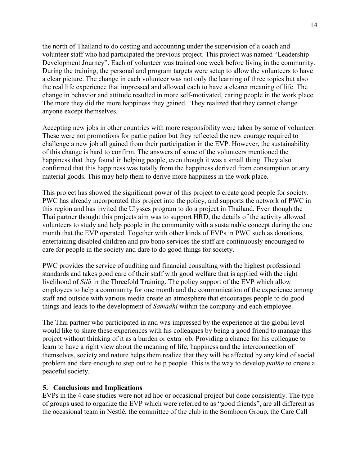the north of Thailand to do costing and accounting under the supervision of a coach and volunteer staff who had participated the previous project. This project was named "Leadership Development Journey". Each of volunteer was trained one week before living in the community. During the training, the personal and program targets were setup to allow the volunteers to have a clear picture. The change in each volunteer was not only the learning of three topics but also the real life experience that impressed and allowed each to have a clearer meaning of life. The change in behavior and attitude resulted in more self-motivated, caring people in the work place. The more they did the more happiness they gained. They realized that they cannot change anyone except themselves.

Accepting new jobs in other countries with more responsibility were taken by some of volunteer. These were not promotions for participation but they reflected the new courage required to challenge a new job all gained from their participation in the EVP. However, the sustainability of this change is hard to confirm. The answers of some of the volunteers mentioned the happiness that they found in helping people, even though it was a small thing. They also confirmed that this happiness was totally from the happiness derived from consumption or any material goods. This may help them to derive more happiness in the work place.

This project has showed the significant power of this project to create good people for society. PWC has already incorporated this project into the policy, and supports the network of PWC in this region and has invited the Ulysses program to do a project in Thailand. Even though the Thai partner thought this projects aim was to support HRD, the details of the activity allowed volunteers to study and help people in the community with a sustainable concept during the one month that the EVP operated. Together with other kinds of EVPs in PWC such as donations, entertaining disabled children and pro bono services the staff are continuously encouraged to care for people in the society and dare to do good things for society.

PWC provides the service of auditing and financial consulting with the highest professional standards and takes good care of their staff with good welfare that is applied with the right livelihood of Silã in the Threefold Training. The policy support of the EVP which allow employees to help a community for one month and the communication of the experience among staff and outside with various media create an atmosphere that encourages people to do good things and leads to the development of Samadhi within the company and each employee.

The Thai partner who participated in and was impressed by the experience at the global level would like to share these experiences with his colleagues by being a good friend to manage this project without thinking of it as a burden or extra job. Providing a chance for his colleague to learn to have a right view about the meaning of life, happiness and the interconnection of themselves, society and nature helps them realize that they will be affected by any kind of social problem and dare enough to step out to help people. This is the way to develop pañña to create a peaceful society.

#### 5. Conclusions and Implications

EVPs in the 4 case studies were not ad hoc or occasional project but done consistently. The type of groups used to organize the EVP which were referred to as "good friends", are all different as the occasional team in Nestlé, the committee of the club in the Somboon Group, the Care Call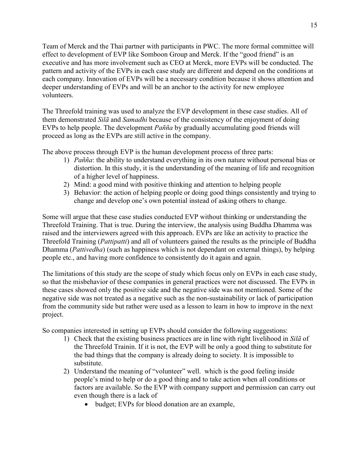Team of Merck and the Thai partner with participants in PWC. The more formal committee will effect to development of EVP like Somboon Group and Merck. If the "good friend" is an executive and has more involvement such as CEO at Merck, more EVPs will be conducted. The pattern and activity of the EVPs in each case study are different and depend on the conditions at each company. Innovation of EVPs will be a necessary condition because it shows attention and deeper understanding of EVPs and will be an anchor to the activity for new employee volunteers.

The Threefold training was used to analyze the EVP development in these case studies. All of them demonstrated Silã and Samadhi because of the consistency of the enjoyment of doing EVPs to help people. The development Pañña by gradually accumulating good friends will proceed as long as the EVPs are still active in the company.

The above process through EVP is the human development process of three parts:

- 1) Pañña: the ability to understand everything in its own nature without personal bias or distortion. In this study, it is the understanding of the meaning of life and recognition of a higher level of happiness.
- 2) Mind: a good mind with positive thinking and attention to helping people
- 3) Behavior: the action of helping people or doing good things consistently and trying to change and develop one's own potential instead of asking others to change.

Some will argue that these case studies conducted EVP without thinking or understanding the Threefold Training. That is true. During the interview, the analysis using Buddha Dhamma was raised and the interviewers agreed with this approach. EVPs are like an activity to practice the Threefold Training (Pattipatti) and all of volunteers gained the results as the principle of Buddha Dhamma (*Pattivedha*) (such as happiness which is not dependant on external things), by helping people etc., and having more confidence to consistently do it again and again.

The limitations of this study are the scope of study which focus only on EVPs in each case study, so that the misbehavior of these companies in general practices were not discussed. The EVPs in these cases showed only the positive side and the negative side was not mentioned. Some of the negative side was not treated as a negative such as the non-sustainability or lack of participation from the community side but rather were used as a lesson to learn in how to improve in the next project.

So companies interested in setting up EVPs should consider the following suggestions:

- 1) Check that the existing business practices are in line with right livelihood in Silã of the Threefold Trainin. If it is not, the EVP will be only a good thing to substitute for the bad things that the company is already doing to society. It is impossible to substitute.
- 2) Understand the meaning of "volunteer" well. which is the good feeling inside people's mind to help or do a good thing and to take action when all conditions or factors are available. So the EVP with company support and permission can carry out even though there is a lack of
	- budget; EVPs for blood donation are an example,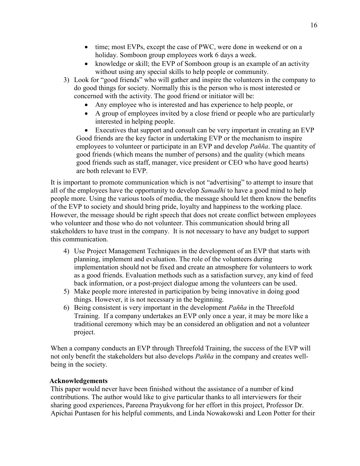- time; most EVPs, except the case of PWC, were done in weekend or on a holiday. Somboon group employees work 6 days a week.
- knowledge or skill; the EVP of Somboon group is an example of an activity without using any special skills to help people or community.
- 3) Look for "good friends" who will gather and inspire the volunteers in the company to do good things for society. Normally this is the person who is most interested or concerned with the activity. The good friend or initiator will be:
	- Any employee who is interested and has experience to help people, or
	- A group of employees invited by a close friend or people who are particularly interested in helping people.

• Executives that support and consult can be very important in creating an EVP Good friends are the key factor in undertaking EVP or the mechanism to inspire employees to volunteer or participate in an EVP and develop *Pañña*. The quantity of good friends (which means the number of persons) and the quality (which means good friends such as staff, manager, vice president or CEO who have good hearts) are both relevant to EVP.

It is important to promote communication which is not "advertising" to attempt to insure that all of the employees have the opportunity to develop *Samadhi* to have a good mind to help people more. Using the various tools of media, the message should let them know the benefits of the EVP to society and should bring pride, loyalty and happiness to the working place. However, the message should be right speech that does not create conflict between employees who volunteer and those who do not volunteer. This communication should bring all stakeholders to have trust in the company. It is not necessary to have any budget to support this communication.

- 4) Use Project Management Techniques in the development of an EVP that starts with planning, implement and evaluation. The role of the volunteers during implementation should not be fixed and create an atmosphere for volunteers to work as a good friends. Evaluation methods such as a satisfaction survey, any kind of feed back information, or a post-project dialogue among the volunteers can be used.
- 5) Make people more interested in participation by being innovative in doing good things. However, it is not necessary in the beginning.
- 6) Being consistent is very important in the development  $Pañña$  in the Threefold Training. If a company undertakes an EVP only once a year, it may be more like a traditional ceremony which may be an considered an obligation and not a volunteer project.

When a company conducts an EVP through Threefold Training, the success of the EVP will not only benefit the stakeholders but also develops Pañña in the company and creates wellbeing in the society.

# Acknowledgements

This paper would never have been finished without the assistance of a number of kind contributions. The author would like to give particular thanks to all interviewers for their sharing good experiences, Pareena Prayukvong for her effort in this project, Professor Dr. Apichai Puntasen for his helpful comments, and Linda Nowakowski and Leon Potter for their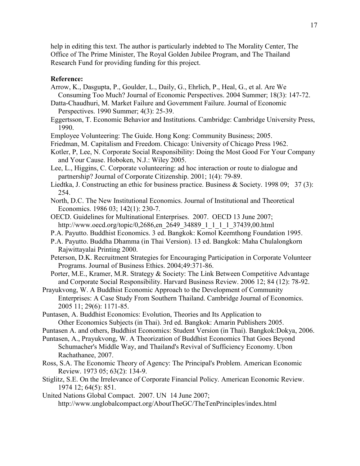help in editing this text. The author is particularly indebted to The Morality Center, The Office of The Prime Minister, The Royal Golden Jubilee Program, and The Thailand Research Fund for providing funding for this project.

#### Reference:

- Arrow, K., Dasgupta, P., Goulder, L., Daily, G., Ehrlich, P., Heal, G., et al. Are We Consuming Too Much? Journal of Economic Perspectives. 2004 Summer; 18(3): 147-72.
- Datta-Chaudhuri, M. Market Failure and Government Failure. Journal of Economic Perspectives. 1990 Summer; 4(3): 25-39.
- Eggertsson, T. Economic Behavior and Institutions. Cambridge: Cambridge University Press, 1990.
- Employee Volunteering: The Guide. Hong Kong: Community Business; 2005.
- Friedman, M. Capitalism and Freedom. Chicago: University of Chicago Press 1962.
- Kotler, P, Lee, N. Corporate Social Responsibility: Doing the Most Good For Your Company and Your Cause. Hoboken, N.J.: Wiley 2005.
- Lee, L., Higgins, C. Corporate volunteering: ad hoc interaction or route to dialogue and partnership? Journal of Corporate Citizenship. 2001; 1(4): 79-89.
- Liedtka, J. Constructing an ethic for business practice. Business & Society. 1998 09; 37 (3): 254.
- North, D.C. The New Institutional Economics. Journal of Institutional and Theoretical Economics. 1986 03; 142(1): 230-7.
- OECD. Guidelines for Multinational Enterprises. 2007. OECD 13 June 2007; http://www.oecd.org/topic/0,2686,en\_2649\_34889\_1\_1\_1\_1\_37439,00.html
- P.A. Payutto. Buddhist Economics. 3 ed. Bangkok: Komol Keemthong Foundation 1995.
- P.A. Payutto. Buddha Dhamma (in Thai Version). 13 ed. Bangkok: Maha Chulalongkorn Rajwittayalai Printing 2000.
- Peterson, D.K. Recruitment Strategies for Encouraging Participation in Corporate Volunteer Programs. Journal of Business Ethics. 2004;49:371-86.
- Porter, M.E., Kramer, M.R. Strategy & Society: The Link Between Competitive Advantage and Corporate Social Responsibility. Harvard Business Review. 2006 12; 84 (12): 78-92.
- Prayukvong, W. A Buddhist Economic Approach to the Development of Community Enterprises: A Case Study From Southern Thailand. Cambridge Journal of Economics. 2005 11; 29(6): 1171-85.
- Puntasen, A. Buddhist Economics: Evolution, Theories and Its Application to Other Economics Subjects (in Thai). 3rd ed. Bangkok: Amarin Publishers 2005.
- Puntasen A. and others, Buddhist Economics: Student Version (in Thai). Bangkok:Dokya, 2006.
- Puntasen, A., Prayukvong, W. A Theorization of Buddhist Economics That Goes Beyond Schumacher's Middle Way, and Thailand's Revival of Sufficiency Economy. Ubon Rachathanee, 2007.
- Ross, S.A. The Economic Theory of Agency: The Principal's Problem. American Economic Review. 1973 05; 63(2): 134-9.
- Stiglitz, S.E. On the Irrelevance of Corporate Financial Policy. American Economic Review. 1974 12; 64(5): 851.
- United Nations Global Compact. 2007. UN 14 June 2007; http://www.unglobalcompact.org/AboutTheGC/TheTenPrinciples/index.html